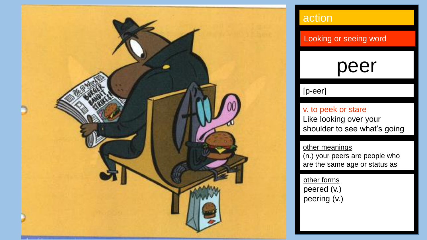

### **action**

Looking or seeing word

### peer

#### [p-eer]

on.

v. to peek or stare Like looking over your shoulder to see what's going

other meanings (n.) your peers are people who are the same age or status as

you. other forms peered (v.) peering (v.)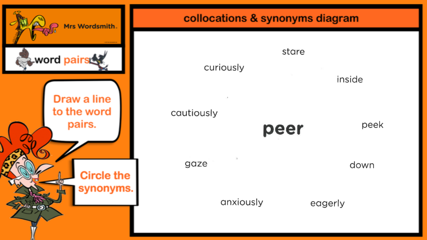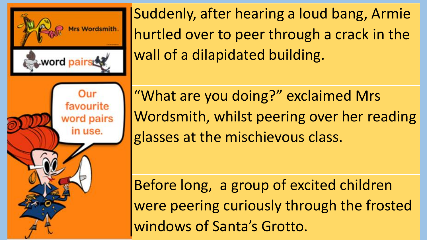

Suddenly, after hearing a loud bang, Armie hurtled over to peer through a crack in the wall of a dilapidated building.

"What are you doing?" exclaimed Mrs Wordsmith, whilst peering over her reading glasses at the mischievous class.

Before long, a group of excited children were peering curiously through the frosted windows of Santa's Grotto.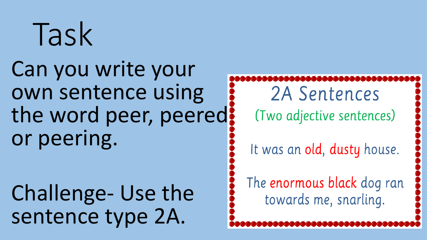# Task

Can you write your own sentence using the word peer, peered? or peering.

Challenge- Use the sentence type 2A.

2A Sentences (Two adjective sentences)

It was an old, dusty house.

The enormous black dog ran towards me, snarling.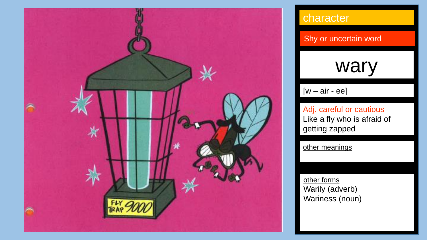

### character

Shy or uncertain word

### wary

### $[w - air - ee]$

Adj. careful or cautious Like a fly who is afraid of getting zapped

other meanings

other forms Warily (adverb) Wariness (noun)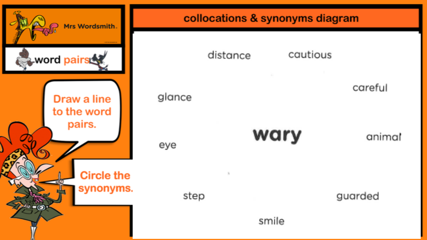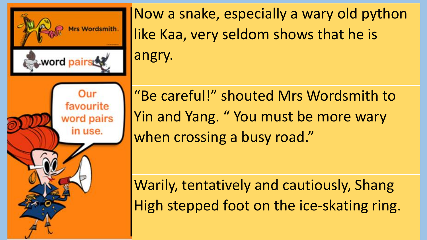

Now a snake, especially a wary old python like Kaa, very seldom shows that he is angry.

"Be careful!" shouted Mrs Wordsmith to Yin and Yang. "You must be more wary when crossing a busy road."

Warily, tentatively and cautiously, Shang High stepped foot on the ice-skating ring.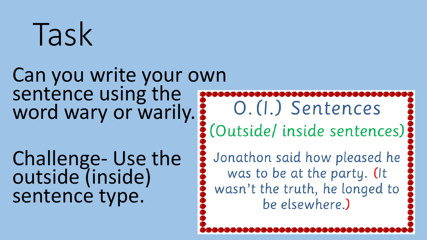# Task

### Can you write your own sentence using the word wary or warily.

Challenge- Use the outside (inside) sentence type.

O. (I.) Sentences : (Outside/inside sentences)

Jonathon said how pleased he was to be at the party. (It wasn't the truth, he longed to be elsewhere.)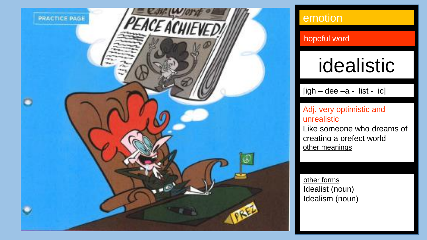

### emotion

#### hopeful word

## idealistic

 $[igh - dee -a - list - ic]$ 

#### Adj. very optimistic and unrealistic

Like someone who dreams of creating a prefect world other meanings

other forms Idealist (noun) Idealism (noun)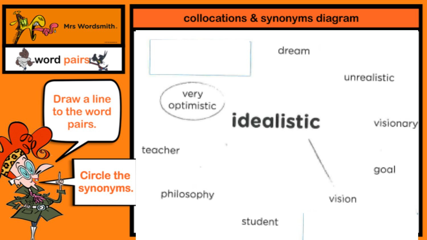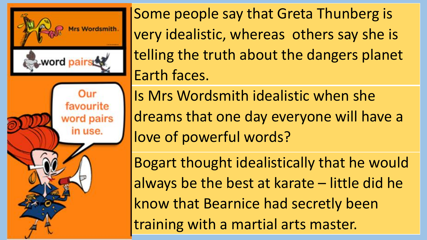

Some people say that Greta Thunberg is very idealistic, whereas others say she is telling the truth about the dangers planet Earth faces.

Is Mrs Wordsmith idealistic when she dreams that one day everyone will have a love of powerful words?

Bogart thought idealistically that he would always be the best at karate – little did he know that Bearnice had secretly been training with a martial arts master.